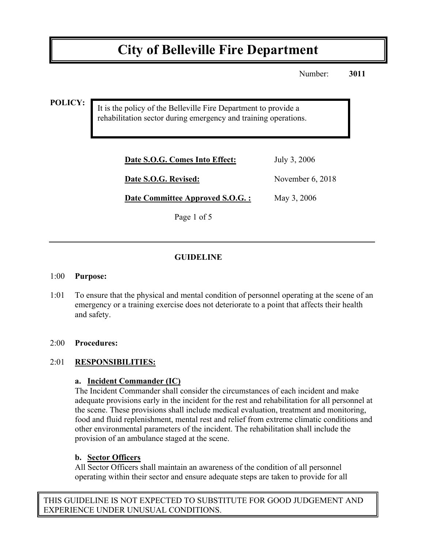# **City of Belleville Fire Department**

Number: **3011**

**POLICY:**

It is the policy of the Belleville Fire Department to provide a rehabilitation sector during emergency and training operations.

| Date S.O.G. Comes Into Effect:   | July 3, 2006       |
|----------------------------------|--------------------|
| Date S.O.G. Revised:             | November $6, 2018$ |
| Date Committee Approved S.O.G. : | May 3, 2006        |

Page 1 of 5

## **GUIDELINE**

#### 1:00 **Purpose:**

1:01 To ensure that the physical and mental condition of personnel operating at the scene of an emergency or a training exercise does not deteriorate to a point that affects their health and safety.

#### 2:00 **Procedures:**

## 2:01 **RESPONSIBILITIES:**

#### **a. Incident Commander (IC)**

The Incident Commander shall consider the circumstances of each incident and make adequate provisions early in the incident for the rest and rehabilitation for all personnel at the scene. These provisions shall include medical evaluation, treatment and monitoring, food and fluid replenishment, mental rest and relief from extreme climatic conditions and other environmental parameters of the incident. The rehabilitation shall include the provision of an ambulance staged at the scene.

#### **b. Sector Officers**

All Sector Officers shall maintain an awareness of the condition of all personnel operating within their sector and ensure adequate steps are taken to provide for all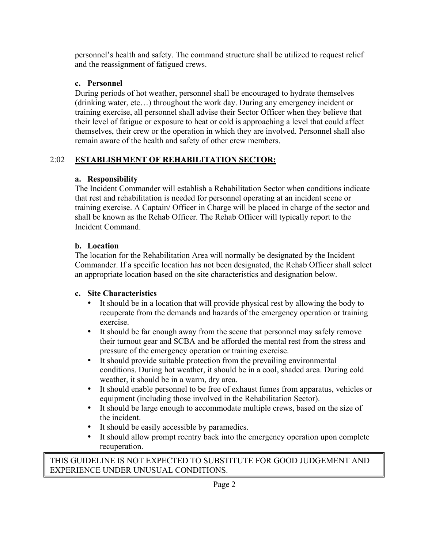personnel's health and safety. The command structure shall be utilized to request relief and the reassignment of fatigued crews.

## **c. Personnel**

During periods of hot weather, personnel shall be encouraged to hydrate themselves (drinking water, etc…) throughout the work day. During any emergency incident or training exercise, all personnel shall advise their Sector Officer when they believe that their level of fatigue or exposure to heat or cold is approaching a level that could affect themselves, their crew or the operation in which they are involved. Personnel shall also remain aware of the health and safety of other crew members.

# 2:02 **ESTABLISHMENT OF REHABILITATION SECTOR:**

# **a. Responsibility**

The Incident Commander will establish a Rehabilitation Sector when conditions indicate that rest and rehabilitation is needed for personnel operating at an incident scene or training exercise. A Captain/ Officer in Charge will be placed in charge of the sector and shall be known as the Rehab Officer. The Rehab Officer will typically report to the Incident Command.

# **b. Location**

The location for the Rehabilitation Area will normally be designated by the Incident Commander. If a specific location has not been designated, the Rehab Officer shall select an appropriate location based on the site characteristics and designation below.

# **c. Site Characteristics**

- It should be in a location that will provide physical rest by allowing the body to recuperate from the demands and hazards of the emergency operation or training exercise.
- It should be far enough away from the scene that personnel may safely remove their turnout gear and SCBA and be afforded the mental rest from the stress and pressure of the emergency operation or training exercise.
- It should provide suitable protection from the prevailing environmental conditions. During hot weather, it should be in a cool, shaded area. During cold weather, it should be in a warm, dry area.
- It should enable personnel to be free of exhaust fumes from apparatus, vehicles or equipment (including those involved in the Rehabilitation Sector).
- It should be large enough to accommodate multiple crews, based on the size of the incident.
- It should be easily accessible by paramedics.
- It should allow prompt reentry back into the emergency operation upon complete recuperation.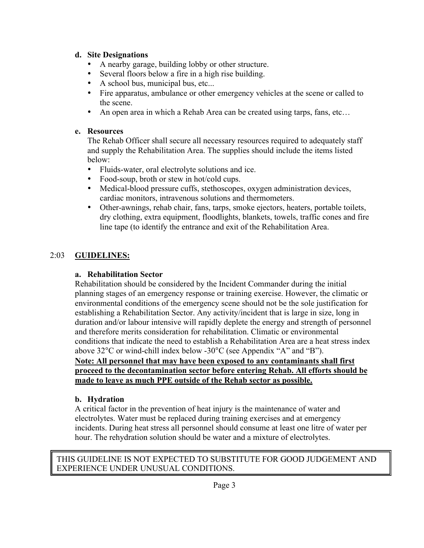#### **d. Site Designations**

- A nearby garage, building lobby or other structure.
- Several floors below a fire in a high rise building.
- A school bus, municipal bus, etc...
- Fire apparatus, ambulance or other emergency vehicles at the scene or called to the scene.
- An open area in which a Rehab Area can be created using tarps, fans, etc...

#### **e. Resources**

The Rehab Officer shall secure all necessary resources required to adequately staff and supply the Rehabilitation Area. The supplies should include the items listed below:

- Fluids-water, oral electrolyte solutions and ice.<br>• Food-soup, broth or stew in hot/cold cups.
- Food-soup, broth or stew in hot/cold cups.
- Medical-blood pressure cuffs, stethoscopes, oxygen administration devices, cardiac monitors, intravenous solutions and thermometers.
- Other-awnings, rehab chair, fans, tarps, smoke ejectors, heaters, portable toilets, dry clothing, extra equipment, floodlights, blankets, towels, traffic cones and fire line tape (to identify the entrance and exit of the Rehabilitation Area.

# 2:03 **GUIDELINES:**

### **a. Rehabilitation Sector**

Rehabilitation should be considered by the Incident Commander during the initial planning stages of an emergency response or training exercise. However, the climatic or environmental conditions of the emergency scene should not be the sole justification for establishing a Rehabilitation Sector. Any activity/incident that is large in size, long in duration and/or labour intensive will rapidly deplete the energy and strength of personnel and therefore merits consideration for rehabilitation. Climatic or environmental conditions that indicate the need to establish a Rehabilitation Area are a heat stress index above 32°C or wind-chill index below -30°C (see Appendix "A" and "B").

#### **Note: All personnel that may have been exposed to any contaminants shall first proceed to the decontamination sector before entering Rehab. All efforts should be made to leave as much PPE outside of the Rehab sector as possible.**

## **b. Hydration**

A critical factor in the prevention of heat injury is the maintenance of water and electrolytes. Water must be replaced during training exercises and at emergency incidents. During heat stress all personnel should consume at least one litre of water per hour. The rehydration solution should be water and a mixture of electrolytes.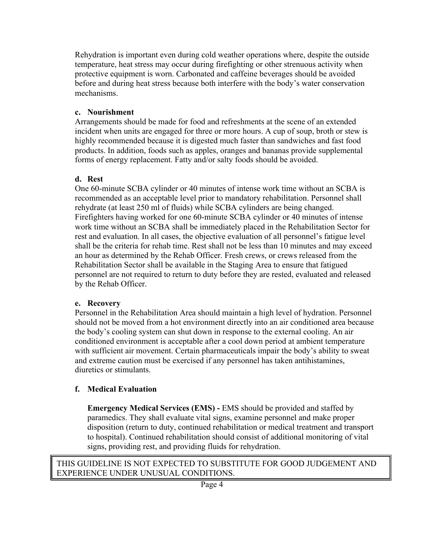Rehydration is important even during cold weather operations where, despite the outside temperature, heat stress may occur during firefighting or other strenuous activity when protective equipment is worn. Carbonated and caffeine beverages should be avoided before and during heat stress because both interfere with the body's water conservation mechanisms.

#### **c. Nourishment**

Arrangements should be made for food and refreshments at the scene of an extended incident when units are engaged for three or more hours. A cup of soup, broth or stew is highly recommended because it is digested much faster than sandwiches and fast food products. In addition, foods such as apples, oranges and bananas provide supplemental forms of energy replacement. Fatty and/or salty foods should be avoided.

#### **d. Rest**

One 60-minute SCBA cylinder or 40 minutes of intense work time without an SCBA is recommended as an acceptable level prior to mandatory rehabilitation. Personnel shall rehydrate (at least 250 ml of fluids) while SCBA cylinders are being changed. Firefighters having worked for one 60-minute SCBA cylinder or 40 minutes of intense work time without an SCBA shall be immediately placed in the Rehabilitation Sector for rest and evaluation. In all cases, the objective evaluation of all personnel's fatigue level shall be the criteria for rehab time. Rest shall not be less than 10 minutes and may exceed an hour as determined by the Rehab Officer. Fresh crews, or crews released from the Rehabilitation Sector shall be available in the Staging Area to ensure that fatigued personnel are not required to return to duty before they are rested, evaluated and released by the Rehab Officer.

#### **e. Recovery**

Personnel in the Rehabilitation Area should maintain a high level of hydration. Personnel should not be moved from a hot environment directly into an air conditioned area because the body's cooling system can shut down in response to the external cooling. An air conditioned environment is acceptable after a cool down period at ambient temperature with sufficient air movement. Certain pharmaceuticals impair the body's ability to sweat and extreme caution must be exercised if any personnel has taken antihistamines, diuretics or stimulants.

## **f. Medical Evaluation**

**Emergency Medical Services (EMS) -** EMS should be provided and staffed by paramedics. They shall evaluate vital signs, examine personnel and make proper disposition (return to duty, continued rehabilitation or medical treatment and transport to hospital). Continued rehabilitation should consist of additional monitoring of vital signs, providing rest, and providing fluids for rehydration.